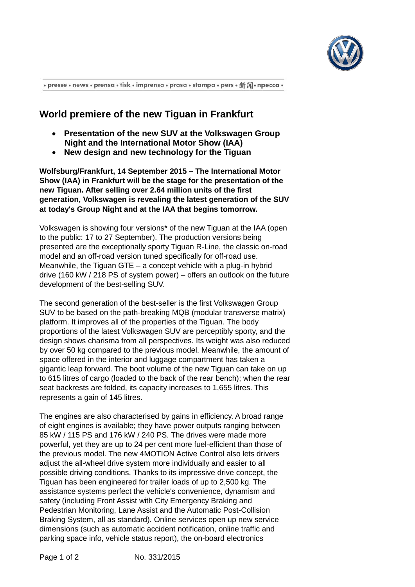

· presse · news · prensa · tisk · imprensa · prasa · stampa · pers · 新闻· npecca ·

## **World premiere of the new Tiguan in Frankfurt**

- **Presentation of the new SUV at the Volkswagen Group Night and the International Motor Show (IAA)**
- **New design and new technology for the Tiguan**

**Wolfsburg/Frankfurt, 14 September 2015 – The International Motor Show (IAA) in Frankfurt will be the stage for the presentation of the new Tiguan. After selling over 2.64 million units of the first generation, Volkswagen is revealing the latest generation of the SUV at today's Group Night and at the IAA that begins tomorrow.**

Volkswagen is showing four versions\* of the new Tiguan at the IAA (open to the public: 17 to 27 September). The production versions being presented are the exceptionally sporty Tiguan R-Line, the classic on-road model and an off-road version tuned specifically for off-road use. Meanwhile, the Tiguan GTE – a concept vehicle with a plug-in hybrid drive (160 kW / 218 PS of system power) – offers an outlook on the future development of the best-selling SUV.

The second generation of the best-seller is the first Volkswagen Group SUV to be based on the path-breaking MQB (modular transverse matrix) platform. It improves all of the properties of the Tiguan. The body proportions of the latest Volkswagen SUV are perceptibly sporty, and the design shows charisma from all perspectives. Its weight was also reduced by over 50 kg compared to the previous model. Meanwhile, the amount of space offered in the interior and luggage compartment has taken a gigantic leap forward. The boot volume of the new Tiguan can take on up to 615 litres of cargo (loaded to the back of the rear bench); when the rear seat backrests are folded, its capacity increases to 1,655 litres. This represents a gain of 145 litres.

The engines are also characterised by gains in efficiency. A broad range of eight engines is available; they have power outputs ranging between 85 kW / 115 PS and 176 kW / 240 PS. The drives were made more powerful, yet they are up to 24 per cent more fuel-efficient than those of the previous model. The new 4MOTION Active Control also lets drivers adjust the all-wheel drive system more individually and easier to all possible driving conditions. Thanks to its impressive drive concept, the Tiguan has been engineered for trailer loads of up to 2,500 kg. The assistance systems perfect the vehicle's convenience, dynamism and safety (including Front Assist with City Emergency Braking and Pedestrian Monitoring, Lane Assist and the Automatic Post-Collision Braking System, all as standard). Online services open up new service dimensions (such as automatic accident notification, online traffic and parking space info, vehicle status report), the on-board electronics